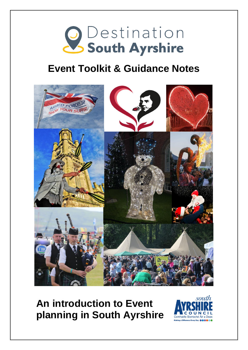

## **Event Toolkit & Guidance Notes**



**An introduction to Event planning in South Ayrshire**

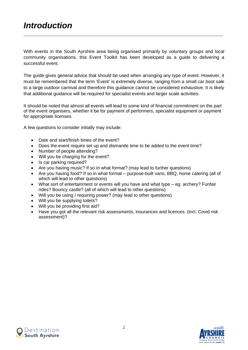With events in the South Ayrshire area being organised primarily by voluntary groups and local community organisations, this Event Toolkit has been developed as a guide to delivering a successful event.

\_\_\_\_\_\_\_\_\_\_\_\_\_\_\_\_\_\_\_\_\_\_\_\_\_\_\_\_\_\_\_\_\_\_\_\_\_\_\_\_\_\_\_\_\_\_\_\_\_\_\_\_\_\_\_\_\_\_\_\_\_\_\_\_\_\_\_\_\_\_\_\_\_\_\_\_\_\_\_\_\_\_\_\_\_\_\_\_\_\_\_\_\_\_\_\_

The guide gives general advice that should be used when arranging any type of event. However, it must be remembered that the term 'Event' is extremely diverse, ranging from a small car boot sale to a large outdoor carnival and therefore this guidance cannot be considered exhaustive. It is likely that additional guidance will be required for specialist events and larger scale activities.

It should be noted that almost all events will lead to some kind of financial commitment on the part of the event organisers, whether it be for payment of performers, specialist equipment or payment for appropriate licenses.

A few questions to consider initially may include:

- Date and start/finish times of the event?
- Does the event require set up and dismantle time to be added to the event time?
- Number of people attending?
- Will you be charging for the event?
- Is car parking required?
- Are you having music? If so in what format? (may lead to further questions)
- Are you having food? If so in what format purpose-built vans, BBQ, home catering (all of which will lead to other questions)
- What sort of entertainment or events will you have and what type eg. archery? Funfair rides? Bouncy castle? (all of which will lead to other questions)
- Will you be using / requiring power? (may lead to other questions)
- Will you be supplying toilets?
- Will you be providing first aid?
- Have you got all the relevant risk assessments, insurances and licences. (incl. Covid risk assessment)?



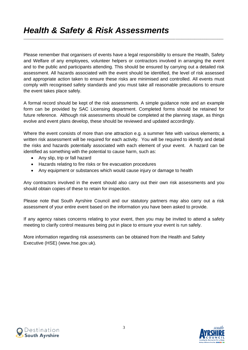Please remember that organisers of events have a legal responsibility to ensure the Health, Safety and Welfare of any employees, volunteer helpers or contractors involved in arranging the event and to the public and participants attending. This should be ensured by carrying out a detailed risk assessment. All hazards associated with the event should be identified, the level of risk assessed and appropriate action taken to ensure these risks are minimised and controlled. All events must comply with recognised safety standards and you must take all reasonable precautions to ensure the event takes place safely.

\_\_\_\_\_\_\_\_\_\_\_\_\_\_\_\_\_\_\_\_\_\_\_\_\_\_\_\_\_\_\_\_\_\_\_\_\_\_\_\_\_\_\_\_\_\_\_\_\_\_\_\_\_\_\_\_\_\_\_\_\_\_\_\_\_\_\_\_\_\_\_\_\_\_\_\_\_\_\_\_\_\_\_\_\_\_\_\_\_\_\_\_\_\_\_\_

A formal record should be kept of the risk assessments. A simple guidance note and an example form can be provided by SAC Licensing department. Completed forms should be retained for future reference. Although risk assessments should be completed at the planning stage, as things evolve and event plans develop, these should be reviewed and updated accordingly.

Where the event consists of more than one attraction e.g. a summer fete with various elements; a written risk assessment will be required for each activity. You will be required to identify and detail the risks and hazards potentially associated with each element of your event. A hazard can be identified as something with the potential to cause harm, such as:

- Any slip, trip or fall hazard
- Hazards relating to fire risks or fire evacuation procedures
- Any equipment or substances which would cause injury or damage to health

Any contractors involved in the event should also carry out their own risk assessments and you should obtain copies of these to retain for inspection.

Please note that South Ayrshire Council and our statutory partners may also carry out a risk assessment of your entire event based on the information you have been asked to provide.

If any agency raises concerns relating to your event, then you may be invited to attend a safety meeting to clarify control measures being put in place to ensure your event is run safely.

More information regarding risk assessments can be obtained from the Health and Safety Executive (HSE) (www.hse.gov.uk).



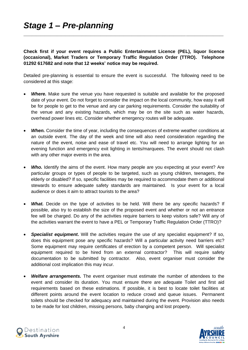**Check first if your event requires a Public Entertainment Licence (PEL), liquor licence (occasional), Market Traders or Temporary Traffic Regulation Order (TTRO). Telephone 01292 617682 and note that 12 weeks' notice may be required.**

\_\_\_\_\_\_\_\_\_\_\_\_\_\_\_\_\_\_\_\_\_\_\_\_\_\_\_\_\_\_\_\_\_\_\_\_\_\_\_\_\_\_\_\_\_\_\_\_\_\_\_\_\_\_\_\_\_\_\_\_\_\_\_\_\_\_\_\_\_\_\_\_\_\_\_\_\_\_\_\_\_\_\_\_\_\_\_\_\_\_\_\_\_\_\_\_

Detailed pre-planning is essential to ensure the event is successful. The following need to be considered at this stage:

- **Where.** Make sure the venue you have requested is suitable and available for the proposed date of your event. Do not forget to consider the impact on the local community, how easy it will be for people to get to the venue and any car parking requirements. Consider the suitability of the venue and any existing hazards, which may be on the site such as water hazards, overhead power lines etc. Consider whether emergency routes will be adequate.
- *When.* Consider the time of year, including the consequences of extreme weather conditions at an outside event. The day of the week and time will also need consideration regarding the nature of the event, noise and ease of travel etc. You will need to arrange lighting for an evening function and emergency exit lighting in tents/marquees. The event should not clash with any other major events in the area.
- **Who.** Identify the aims of the event. How many people are you expecting at your event? Are particular groups or types of people to be targeted, such as young children, teenagers, the elderly or disabled? If so, specific facilities may be required to accommodate them or additional stewards to ensure adequate safety standards are maintained. Is your event for a local audience or does it aim to attract tourists to the area?
- **What.** Decide on the type of activities to be held. Will there be any specific hazards? If possible, also try to establish the size of the proposed event and whether or not an entrance fee will be charged. Do any of the activities require barriers to keep visitors safe? Will any of the activities warrant the event to have a PEL or Temporary Traffic Regulation Order (TTRO)?
- *Specialist equipment***.** Will the activities require the use of any specialist equipment? If so, does this equipment pose any specific hazards? Will a particular activity need barriers etc? Some equipment may require certificates of erection by a competent person. Will specialist equipment required to be hired from an external contractor? This will require safety documentation to be submitted by contractor. Also, event organiser must consider the additional cost implication this may incur.
- *Welfare arrangements.* The event organiser must estimate the number of attendees to the event and consider its duration. You must ensure there are adequate Toilet and first aid requirements based on these estimations. If possible, it is best to locate toilet facilities at different points around the event location to reduce crowd and queue issues. Permanent toilets should be checked for adequacy and maintained during the event. Provision also needs to be made for lost children, missing persons, baby changing and lost property.



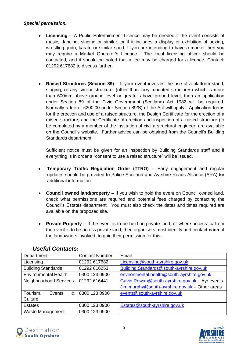## *Special permission.*

- **Licensing –** A Public Entertainment Licence may be needed if the event consists of music, dancing, singing or similar, or if it includes a display or exhibition of boxing, wrestling, judo, karate or similar sport. If you are intending to have a market then you may require a Market Operator's Licence. The local licensing officer should be contacted, and it should be noted that a fee may be charged for a licence. Contact: 01292 617682 to discuss further.
- **Raised Structures (Section 89) –** If your event involves the use of a platform stand, staging, or any similar structure, (other than lorry mounted structures) which is more than 600mm above ground level or greater above ground level, then an application under Section 89 of the Civic Government (Scotland) Act 1982 will be required. Normally a fee of £200.00 under Section 89/S) of the Act will apply. Application forms for the erection and use of a raised structure; the Design Certificate for the erection of a raised structure; and the Certificate of erection and inspection of a raised structure (to be completed by a member of the institution of civil a structural engineer; are available on the Council's website. Further advice can be obtained from the Council's Building Standards department.

Sufficient notice must be given for an inspection by Building Standards staff and if everything is in order a "consent to use a raised structure" will be issued.

- **Temporary Traffic Regulation Order (TTRO) –** Early engagement and regular updates should be provided to Police Scotland and Ayrshire Roads Alliance (ARA) for additional information.
- **Council owned land/property –** If you wish to hold the event on Council owned land, check what permissions are required and potential fees charged by contacting the Council's Estates department. You must also check the dates and times required are available on the proposed site.
- **Private Property –** If the event is to be held on private land, or where access to/ from the event is to be across private land, then organisers must identify and contact **each** of the landowners involved, to gain their permission for this.

| Department                  | <b>Contact Number</b> | Email                                          |
|-----------------------------|-----------------------|------------------------------------------------|
| Licensing                   | 01292 617682          | Licensing@south-ayrshire.gov.uk                |
| <b>Building Standards</b>   | 01292 616253          | Building.Standards@south-ayrshire.gov.uk       |
| <b>Environmental Health</b> | 0300 123 0900         | environmental.health@south-ayrshire.gov.uk     |
| Neighbourhood Services      | 01292 616441          | Gavin.Rowan@south-ayrshire.gov.uk - Ayr events |
|                             |                       | Jim.murphy@south-ayrshire.gov.uk - Other areas |
| Tourism,<br>&<br>Events     | 0300 123 0900         | events@south-ayrshire.gov.uk                   |
| Culture                     |                       |                                                |
| <b>Estates</b>              | 0300 123 0900         | Estates@south-ayrshire.gov.uk                  |
| Waste Management            | 0300 123 0900         |                                                |

## *Useful Contacts*:



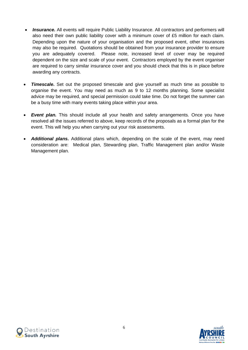- **Insurance.** All events will require Public Liability Insurance. All contractors and performers will also need their own public liability cover with a minimum cover of £5 million for each claim. Depending upon the nature of your organisation and the proposed event, other insurances may also be required. Quotations should be obtained from your insurance provider to ensure you are adequately covered. Please note, increased level of cover may be required dependent on the size and scale of your event. Contractors employed by the event organiser are required to carry similar insurance cover and you should check that this is in place before awarding any contracts.
- *Timescale***.** Set out the proposed timescale and give yourself as much time as possible to organise the event. You may need as much as 9 to 12 months planning. Some specialist advice may be required, and special permission could take time. Do not forget the summer can be a busy time with many events taking place within your area.
- *Event plan.* This should include all your health and safety arrangements. Once you have resolved all the issues referred to above, keep records of the proposals as a formal plan for the event. This will help you when carrying out your risk assessments.
- *Additional plans.* Additional plans which, depending on the scale of the event, may need consideration are: Medical plan, Stewarding plan, Traffic Management plan and/or Waste Management plan.



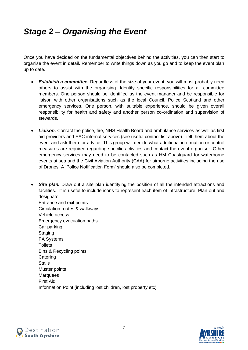Once you have decided on the fundamental objectives behind the activities, you can then start to organise the event in detail. Remember to write things down as you go and to keep the event plan up to date.

\_\_\_\_\_\_\_\_\_\_\_\_\_\_\_\_\_\_\_\_\_\_\_\_\_\_\_\_\_\_\_\_\_\_\_\_\_\_\_\_\_\_\_\_\_\_\_\_\_\_\_\_\_\_\_\_\_\_\_\_\_\_\_\_\_\_\_\_\_\_\_\_\_\_\_\_\_\_\_\_\_\_\_\_\_\_\_\_\_\_\_\_\_\_\_\_

- *Establish a committee.* Regardless of the size of your event, you will most probably need others to assist with the organising. Identify specific responsibilities for all committee members. One person should be identified as the event manager and be responsible for liaison with other organisations such as the local Council, Police Scotland and other emergency services. One person, with suitable experience, should be given overall responsibility for health and safety and another person co-ordination and supervision of stewards.
- *Liaison.* Contact the police, fire, NHS Health Board and ambulance services as well as first aid providers and SAC internal services (see useful contact list above). Tell them about the event and ask them for advice. This group will decide what additional information or control measures are required regarding specific activities and contact the event organiser. Other emergency services may need to be contacted such as HM Coastguard for waterborne events at sea and the Civil Aviation Authority (CAA) for airborne activities including the use of Drones. A 'Police Notification Form' should also be completed.
- **Site plan.** Draw out a site plan identifying the position of all the intended attractions and facilities. It is useful to include icons to represent each item of infrastructure. Plan out and designate: Entrance and exit points Circulation routes & walkways Vehicle access Emergency evacuation paths Car parking **Staging** PA Systems **Toilets** Bins & Recycling points **Catering Stalls** Muster points **Marquees** First Aid Information Point (including lost children, lost property etc)



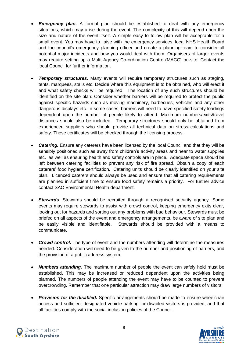- **Emergency plan.** A formal plan should be established to deal with any emergency situations, which may arise during the event. The complexity of this will depend upon the size and nature of the event itself. A simple easy to follow plan will be acceptable for a small event. You may have to liaise with the emergency services, local NHS Health Board and the council's emergency planning officer and create a planning team to consider all potential major incidents and how you would deal with them. Organisers of larger events may require setting up a Multi Agency Co-ordination Centre (MACC) on-site. Contact the local Council for further information.
- **Temporary structures.** Many events will require temporary structures such as staging, tents, marquees, stalls etc. Decide where this equipment is to be obtained, who will erect it and what safety checks will be required. The location of any such structures should be identified on the site plan. Consider whether barriers will be required to protect the public against specific hazards such as moving machinery, barbecues, vehicles and any other dangerous displays etc. In some cases, barriers will need to have specified safety loadings dependent upon the number of people likely to attend. Maximum numbers/exits/travel distances should also be included. Temporary structures should only be obtained from experienced suppliers who should provide all technical data on stress calculations and safety. These certificates will be checked through the licensing process.
- *Catering.* Ensure any caterers have been licensed by the local Council and that they will be sensibly positioned such as away from children's activity areas and near to water supplies etc. as well as ensuring health and safety controls are in place. Adequate space should be left between catering facilities to prevent any risk of fire spread. Obtain a copy of each caterers' food hygiene certification. Catering units should be clearly identified on your site plan. Licenced caterers should always be used and ensure that all catering requirements are planned in sufficient time to ensure food safety remains a priority. For further advice contact SAC Environmental Health department.
- *Stewards.* Stewards should be recruited through a recognised security agency. Some events may require stewards to assist with crowd control, keeping emergency exits clear, looking out for hazards and sorting out any problems with bad behaviour. Stewards must be briefed on all aspects of the event and emergency arrangements, be aware of site plan and be easily visible and identifiable. Stewards should be provided with a means to communicate.
- *Crowd control.* The type of event and the numbers attending will determine the measures needed. Consideration will need to be given to the number and positioning of barriers, and the provision of a public address system.
- *Numbers attending.* The maximum number of people the event can safely hold must be established. This may be increased or reduced dependent upon the activities being planned. The numbers of people attending the event may have to be counted to prevent overcrowding. Remember that one particular attraction may draw large numbers of visitors.
- *Provision for the disabled.* Specific arrangements should be made to ensure wheelchair access and sufficient designated vehicle parking for disabled visitors is provided, and that all facilities comply with the social inclusion policies of the Council.



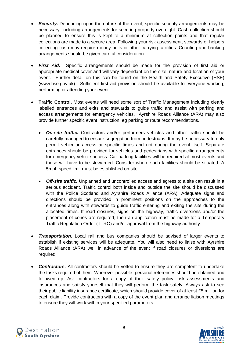- **Security.** Depending upon the nature of the event, specific security arrangements may be necessary, including arrangements for securing property overnight. Cash collection should be planned to ensure this is kept to a minimum at collection points and that regular collections are made to a secure area. Following your risk assessment, stewards or helpers collecting cash may require money belts or other carrying facilities. Counting and banking arrangements should be given careful consideration.
- *First Aid.* Specific arrangements should be made for the provision of first aid or appropriate medical cover and will vary dependant on the size, nature and location of your event. Further detail on this can be found on the Health and Safety Executive (HSE) (www.hse.gov.uk). Sufficient first aid provision should be available to everyone working, performing or attending your event
- **Traffic Control.** Most events will need some sort of Traffic Management including clearly labelled entrances and exits and stewards to guide traffic and assist with parking and access arrangements for emergency vehicles. Ayrshire Roads Alliance (ARA) may also provide further specific event instruction, eg parking or route recommendations.
	- **On-site traffic.** Contractors and/or performers vehicles and other traffic should be carefully managed to ensure segregation from pedestrians. It may be necessary to only permit vehicular access at specific times and not during the event itself. Separate entrances should be provided for vehicles and pedestrians with specific arrangements for emergency vehicle access. Car parking facilities will be required at most events and these will have to be stewarded. Consider where such facilities should be situated. A 5mph speed limit must be established on site.
	- *Off-site traffic.* Unplanned and uncontrolled access and egress to a site can result in a serious accident. Traffic control both inside and outside the site should be discussed with the Police Scotland and Ayrshire Roads Alliance (ARA). Adequate signs and directions should be provided in prominent positions on the approaches to the entrances along with stewards to guide traffic entering and exiting the site during the allocated times. If road closures, signs on the highway, traffic diversions and/or the placement of cones are required, then an application must be made for a Temporary Traffic Regulation Order (TTRO) and/or approval from the highway authority.
- *Transportation***.** Local rail and bus companies should be advised of larger events to establish if existing services will be adequate. You will also need to liaise with Ayrshire Roads Alliance (ARA) well in advance of the event if road closures or diversions are required.
- *Contractors.* All contractors should be vetted to ensure they are competent to undertake the tasks required of them. Wherever possible, personal references should be obtained and followed up. Ask contractors for a copy of their safety policy, risk assessments and insurances and satisfy yourself that they will perform the task safely. Always ask to see their public liability insurance certificate, which should provide cover of at least £5 million for each claim. Provide contractors with a copy of the event plan and arrange liaison meetings to ensure they will work within your specified parameters.



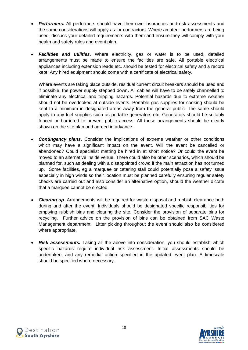- **Performers.** All performers should have their own insurances and risk assessments and the same considerations will apply as for contractors. Where amateur performers are being used, discuss your detailed requirements with them and ensure they will comply with your health and safety rules and event plan.
- *Facilities and utilities.* Where electricity, gas or water is to be used, detailed arrangements must be made to ensure the facilities are safe. All portable electrical appliances including extension leads etc. should be tested for electrical safety and a record kept. Any hired equipment should come with a certificate of electrical safety.

Where events are taking place outside, residual current circuit breakers should be used and if possible, the power supply stepped down**.** All cables will have to be safely channelled to eliminate any electrical and tripping hazards. Potential hazards due to extreme weather should not be overlooked at outside events. Portable gas supplies for cooking should be kept to a minimum in designated areas away from the general public. The same should apply to any fuel supplies such as portable generators etc. Generators should be suitably fenced or barriered to prevent public access. All these arrangements should be clearly shown on the site plan and agreed in advance.

- *Contingency plans.* Consider the implications of extreme weather or other conditions which may have a significant impact on the event. Will the event be cancelled or abandoned? Could specialist matting be hired in at short notice? Or could the event be moved to an alternative inside venue. There could also be other scenarios, which should be planned for, such as dealing with a disappointed crowd if the main attraction has not turned up. Some facilities, eg a marquee or catering stall could potentially pose a safety issue especially in high winds so their location must be planned carefully ensuring regular safety checks are carried out and also consider an alternative option, should the weather dictate that a marquee cannot be erected.
- *Clearing up.* Arrangements will be required for waste disposal and rubbish clearance both during and after the event. Individuals should be designated specific responsibilities for emptying rubbish bins and clearing the site. Consider the provision of separate bins for recycling. Further advice on the provision of bins can be obtained from SAC Waste Management department. Litter picking throughout the event should also be considered where appropriate.
- *Risk assessments.* Taking all the above into consideration, you should establish which specific hazards require individual risk assessment. Initial assessments should be undertaken, and any remedial action specified in the updated event plan. A timescale should be specified where necessary.



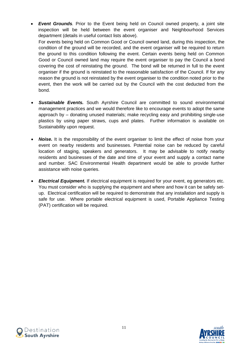- *Event Grounds.* Prior to the Event being held on Council owned property, a joint site inspection will be held between the event organiser and Neighbourhood Services department (details in useful contact lists above). For events being held on Common Good or Council owned land, during this inspection, the condition of the ground will be recorded, and the event organiser will be required to return the ground to this condition following the event. Certain events being held on Common Good or Council owned land may require the event organiser to pay the Council a bond covering the cost of reinstating the ground. The bond will be returned in full to the event organiser if the ground is reinstated to the reasonable satisfaction of the Council. If for any reason the ground is not reinstated by the event organiser to the condition noted prior to the event, then the work will be carried out by the Council with the cost deducted from the bond.
- *Sustainable Events.* South Ayrshire Council are committed to sound environmental management practices and we would therefore like to encourage events to adopt the same approach by – donating unused materials; make recycling easy and prohibiting single-use plastics by using paper straws, cups and plates. Further information is available on Sustainability upon request.
- **Noise.** It is the responsibility of the event organiser to limit the effect of noise from your event on nearby residents and businesses. Potential noise can be reduced by careful location of staging, speakers and generators. It may be advisable to notify nearby residents and businesses of the date and time of your event and supply a contact name and number. SAC Environmental Health department would be able to provide further assistance with noise queries.
- *Electrical Equipment.* If electrical equipment is required for your event, eg generators etc. You must consider who is supplying the equipment and where and how it can be safely setup. Electrical certification will be required to demonstrate that any installation and supply is safe for use. Where portable electrical equipment is used, Portable Appliance Testing (PAT) certification will be required.



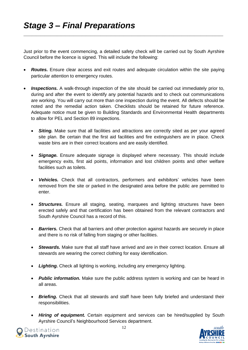Just prior to the event commencing, a detailed safety check will be carried out by South Ayrshire Council before the licence is signed. This will include the following:

\_\_\_\_\_\_\_\_\_\_\_\_\_\_\_\_\_\_\_\_\_\_\_\_\_\_\_\_\_\_\_\_\_\_\_\_\_\_\_\_\_\_\_\_\_\_\_\_\_\_\_\_\_\_\_\_\_\_\_\_\_\_\_\_\_\_\_\_\_\_\_\_\_\_\_\_\_\_\_\_\_\_\_\_\_\_\_\_\_\_\_\_\_\_\_\_

- **Routes.** Ensure clear access and exit routes and adequate circulation within the site paying particular attention to emergency routes.
- **Inspections.** A walk-through inspection of the site should be carried out immediately prior to, during and after the event to identify any potential hazards and to check out communications are working. You will carry out more than one inspection during the event. All defects should be noted and the remedial action taken. Checklists should be retained for future reference. Adequate notice must be given to Building Standards and Environmental Health departments to allow for PEL and Section 89 inspections.
	- **Siting.** Make sure that all facilities and attractions are correctly sited as per your agreed site plan. Be certain that the first aid facilities and fire extinguishers are in place. Check waste bins are in their correct locations and are easily identified.
	- *Signage.* Ensure adequate signage is displayed where necessary. This should include emergency exits, first aid points, information and lost children points and other welfare facilities such as toilets.
	- *Vehicles.* Check that all contractors, performers and exhibitors' vehicles have been removed from the site or parked in the designated area before the public are permitted to enter.
	- *Structures.* Ensure all staging, seating, marquees and lighting structures have been erected safely and that certification has been obtained from the relevant contractors and South Ayrshire Council has a record of this.
	- *Barriers.* Check that all barriers and other protection against hazards are securely in place and there is no risk of falling from staging or other facilities.
	- *Stewards.* Make sure that all staff have arrived and are in their correct location. Ensure all stewards are wearing the correct clothing for easy identification.
	- *Lighting.* Check all lighting is working, including any emergency lighting.
	- *Public information.* Make sure the public address system is working and can be heard in all areas.
	- **Briefing.** Check that all stewards and staff have been fully briefed and understand their responsibilities.
	- *Hiring of equipment.* Certain equipment and services can be hired/supplied by South Ayrshire Council's Neighbourhood Services department.